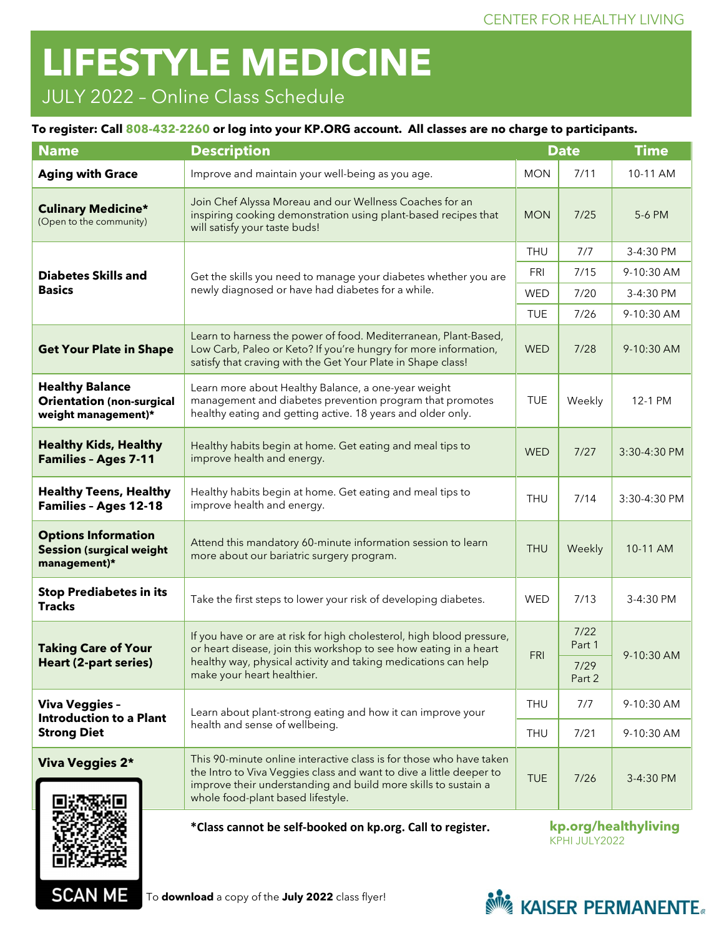# **LIFESTYLE MEDICINE**

## JULY 2022 – Online Class Schedule

#### **To register: Call 808-432-2260 or log into your KP.ORG account. All classes are no charge to participants.**

| <b>Name</b>                                                                       | <b>Description</b>                                                                                                                                                                                                                                | <b>Date</b>                           |                | <b>Time</b>  |
|-----------------------------------------------------------------------------------|---------------------------------------------------------------------------------------------------------------------------------------------------------------------------------------------------------------------------------------------------|---------------------------------------|----------------|--------------|
| <b>Aging with Grace</b>                                                           | Improve and maintain your well-being as you age.                                                                                                                                                                                                  |                                       | 7/11           | 10-11 AM     |
| <b>Culinary Medicine*</b><br>(Open to the community)                              | Join Chef Alyssa Moreau and our Wellness Coaches for an<br>inspiring cooking demonstration using plant-based recipes that<br>will satisfy your taste buds!                                                                                        | <b>MON</b>                            | 7/25           | 5-6 PM       |
| <b>Diabetes Skills and</b><br><b>Basics</b>                                       |                                                                                                                                                                                                                                                   |                                       | 7/7            | 3-4:30 PM    |
|                                                                                   | Get the skills you need to manage your diabetes whether you are<br>newly diagnosed or have had diabetes for a while.                                                                                                                              | FRI                                   | 7/15           | 9-10:30 AM   |
|                                                                                   |                                                                                                                                                                                                                                                   | <b>WED</b>                            | 7/20           | 3-4:30 PM    |
|                                                                                   |                                                                                                                                                                                                                                                   |                                       | 7/26           | 9-10:30 AM   |
| <b>Get Your Plate in Shape</b>                                                    | Learn to harness the power of food. Mediterranean, Plant-Based,<br>Low Carb, Paleo or Keto? If you're hungry for more information,<br>satisfy that craving with the Get Your Plate in Shape class!                                                |                                       | 7/28           | 9-10:30 AM   |
| <b>Healthy Balance</b><br><b>Orientation (non-surgical</b><br>weight management)* | Learn more about Healthy Balance, a one-year weight<br>management and diabetes prevention program that promotes<br>healthy eating and getting active. 18 years and older only.                                                                    |                                       | Weekly         | 12-1 PM      |
| <b>Healthy Kids, Healthy</b><br><b>Families - Ages 7-11</b>                       | Healthy habits begin at home. Get eating and meal tips to<br>improve health and energy.                                                                                                                                                           |                                       | 7/27           | 3:30-4:30 PM |
| <b>Healthy Teens, Healthy</b><br><b>Families - Ages 12-18</b>                     | Healthy habits begin at home. Get eating and meal tips to<br>improve health and energy.                                                                                                                                                           |                                       | 7/14           | 3:30-4:30 PM |
| <b>Options Information</b><br><b>Session (surgical weight</b><br>management)*     | Attend this mandatory 60-minute information session to learn<br>more about our bariatric surgery program.                                                                                                                                         |                                       | Weekly         | 10-11 AM     |
| <b>Stop Prediabetes in its</b><br><b>Tracks</b>                                   | Take the first steps to lower your risk of developing diabetes.                                                                                                                                                                                   | <b>WED</b>                            | 7/13           | 3-4:30 PM    |
| <b>Taking Care of Your</b><br><b>Heart (2-part series)</b>                        | If you have or are at risk for high cholesterol, high blood pressure,<br>or heart disease, join this workshop to see how eating in a heart<br>healthy way, physical activity and taking medications can help<br>make your heart healthier.        |                                       | 7/22<br>Part 1 | 9-10:30 AM   |
|                                                                                   |                                                                                                                                                                                                                                                   |                                       | 7/29<br>Part 2 |              |
| <b>Viva Veggies -</b><br><b>Introduction to a Plant</b><br><b>Strong Diet</b>     | Learn about plant-strong eating and how it can improve your<br>health and sense of wellbeing.                                                                                                                                                     | <b>THU</b>                            | 7/7            | 9-10:30 AM   |
|                                                                                   |                                                                                                                                                                                                                                                   | <b>THU</b>                            | 7/21           | 9-10:30 AM   |
| <b>Viva Veggies 2*</b>                                                            | This 90-minute online interactive class is for those who have taken<br>the Intro to Viva Veggies class and want to dive a little deeper to<br>improve their understanding and build more skills to sustain a<br>whole food-plant based lifestyle. | <b>TUE</b>                            | 7/26           | 3-4:30 PM    |
|                                                                                   | *Class cannot be self-booked on kp.org. Call to register.                                                                                                                                                                                         | kp.org/healthyliving<br>KPHI JULY2022 |                |              |



П

**SCAN ME**